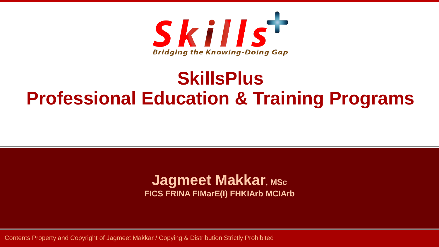

# **SkillsPlus Professional Education & Training Programs**

#### **Jagmeet Makkar, MSc FICS FRINA FIMarE(I) FHKIArb MCIArb**

Contents Property and Copyright of Jagmeet Makkar / Copying & Distribution Strictly Prohibited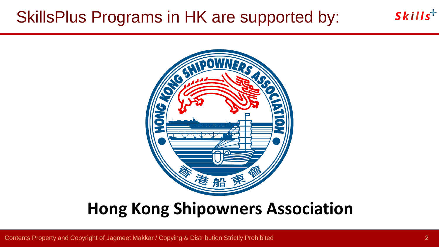## SkillsPlus Programs in HK are supported by:



# **Hong Kong Shipowners Association**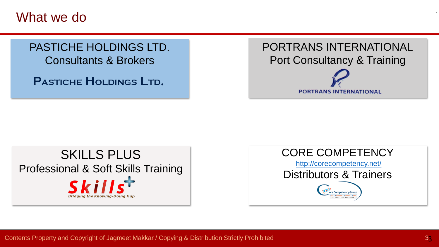What we do

#### PASTICHE HOLDINGS LTD. Consultants & Brokers

PASTICHE HOLDINGS LTD.



#### SKILLS PLUS Professional & Soft Skills TrainingSkills **Bridging the Knowing-Doing Gap**

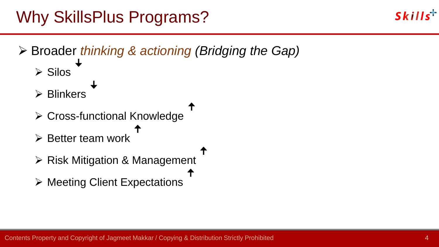

➢ Broader *thinking & actioning (Bridging the Gap)* ➢ Silos  $\overline{\phantom{a}}$ ➢ Blinkers **ꜜ** ➢ Cross-functional Knowledge  $\mathbf{T}$ ➢ Better team work  $\mathbf{T}$  $\mathbf{T}$ 

 $\mathbf{T}$ 

- ➢ Risk Mitigation & Management
- ➢ Meeting Client Expectations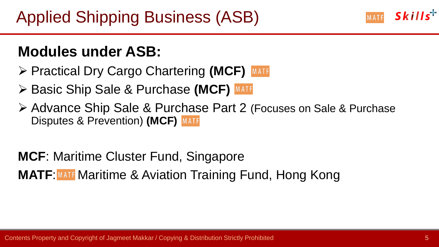#### **Modules under ASB:**

- ➢ Practical Dry Cargo Chartering **(MCF)**
- ➢ Basic Ship Sale & Purchase **(MCF)**
- ➢ Advance Ship Sale & Purchase Part 2 (Focuses on Sale & Purchase Disputes & Prevention) **(MCF)**

**MCF**: Maritime Cluster Fund, Singapore **MATF: MATE:** Maritime & Aviation Training Fund, Hong Kong  $S$ kills<sup>+</sup>

MATF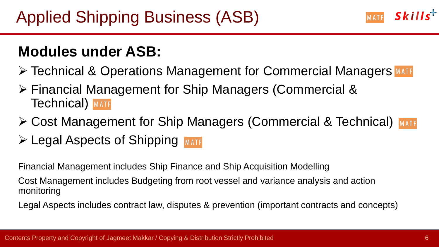#### **Modules under ASB:**

- ➢ Technical & Operations Management for Commercial Managers
- ➢ Financial Management for Ship Managers (Commercial & **Technical** MATF
- ➢ Cost Management for Ship Managers (Commercial & Technical) ➢ Legal Aspects of Shipping

Financial Management includes Ship Finance and Ship Acquisition Modelling

Cost Management includes Budgeting from root vessel and variance analysis and action monitoring

Legal Aspects includes contract law, disputes & prevention (important contracts and concepts)

MATE Skills<sup>+</sup>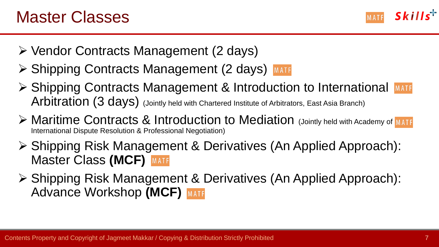$S$ kills<sup>+</sup> MATF

- ➢ Vendor Contracts Management (2 days)
- ➢ Shipping Contracts Management (2 days)
- ➢ Shipping Contracts Management & Introduction to International Arbitration (3 days) (Jointly held with Chartered Institute of Arbitrators, East Asia Branch)
- ➢ Maritime Contracts & Introduction to Mediation (Jointly held with Academy of International Dispute Resolution & Professional Negotiation)
- ➢ Shipping Risk Management & Derivatives (An Applied Approach): Master Class **(MCF)**
- ➢ Shipping Risk Management & Derivatives (An Applied Approach): Advance Workshop **(MCF)**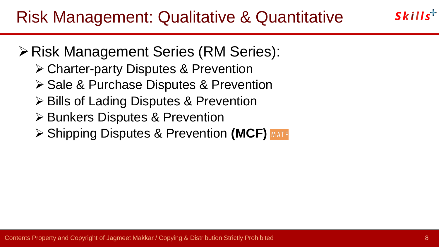- ➢Risk Management Series (RM Series):
	- ➢ Charter-party Disputes & Prevention
	- ➢ Sale & Purchase Disputes & Prevention
	- ➢ Bills of Lading Disputes & Prevention
	- ➢ Bunkers Disputes & Prevention
	- ➢ Shipping Disputes & Prevention **(MCF)**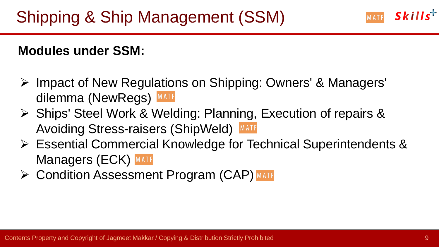#### **Modules under SSM:**

- ➢ Impact of New Regulations on Shipping: Owners' & Managers' dilemma (NewRegs) MATF
- ➢ Ships' Steel Work & Welding: Planning, Execution of repairs & Avoiding Stress-raisers (ShipWeld) MATE
- ➢ Essential Commercial Knowledge for Technical Superintendents & **Managers (ECK) MATF**
- ➢ Condition Assessment Program (CAP)

 $S$ kills<sup>+</sup>

MATF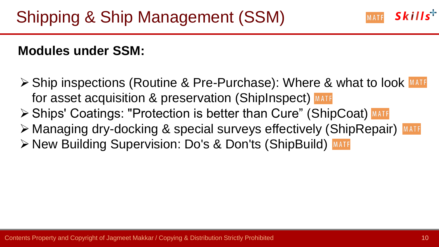#### **Modules under SSM:**

➢ Ship inspections (Routine & Pre-Purchase): Where & what to look for asset acquisition & preservation (ShipInspect) MATE ➢ Ships' Coatings: "Protection is better than Cure" (ShipCoat) ➢ Managing dry-docking & special surveys effectively (ShipRepair) ➢ New Building Supervision: Do's & Don'ts (ShipBuild)

 $S$ kills<sup>+</sup>

MATF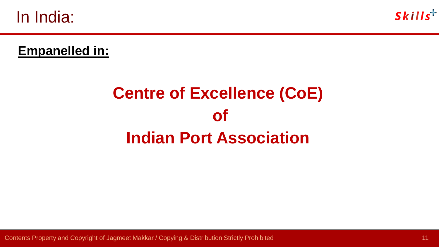In India:



#### **Empanelled in:**

# **Centre of Excellence (CoE) of Indian Port Association**

Contents Property and Copyright of Jagmeet Makkar / Copying & Distribution Strictly Prohibited 11 11 11 11 11 11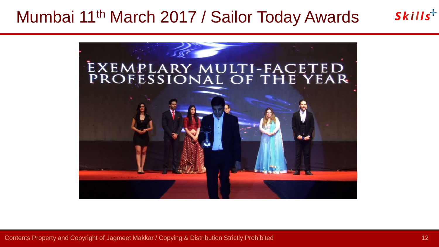### Mumbai 11th March 2017 / Sailor Today Awards



Contents Property and Copyright of Jagmeet Makkar / Copying & Distribution Strictly Prohibited 12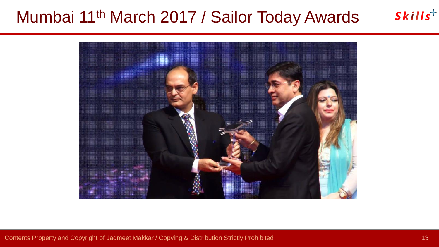# Mumbai 11th March 2017 / Sailor Today Awards



Contents Property and Copyright of Jagmeet Makkar / Copying & Distribution Strictly Prohibited 13 and 13 and 13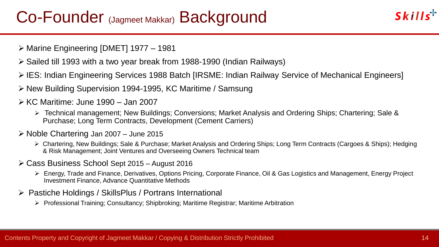### Co-Founder (Jagmeet Makkar) Background

- ➢ Marine Engineering [DMET] 1977 1981
- ➢ Sailed till 1993 with a two year break from 1988-1990 (Indian Railways)
- ➢ IES: Indian Engineering Services 1988 Batch [IRSME: Indian Railway Service of Mechanical Engineers]
- ➢ New Building Supervision 1994-1995, KC Maritime / Samsung
- ➢ KC Maritime: June 1990 Jan 2007
	- ➢ Technical management; New Buildings; Conversions; Market Analysis and Ordering Ships; Chartering; Sale & Purchase; Long Term Contracts, Development (Cement Carriers)
- ➢ Noble Chartering Jan 2007 June 2015
	- ➢ Chartering, New Buildings; Sale & Purchase; Market Analysis and Ordering Ships; Long Term Contracts (Cargoes & Ships); Hedging & Risk Management; Joint Ventures and Overseeing Owners Technical team
- ➢ Cass Business School Sept 2015 August 2016
	- ➢ Energy, Trade and Finance, Derivatives, Options Pricing, Corporate Finance, Oil & Gas Logistics and Management, Energy Project Investment Finance, Advance Quantitative Methods
- ➢ Pastiche Holdings / SkillsPlus / Portrans International
	- ➢ Professional Training; Consultancy; Shipbroking; Maritime Registrar; Maritime Arbitration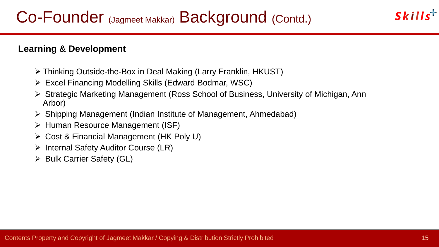#### **Learning & Development**

- ➢ Thinking Outside-the-Box in Deal Making (Larry Franklin, HKUST)
- ➢ Excel Financing Modelling Skills (Edward Bodmar, WSC)
- ➢ Strategic Marketing Management (Ross School of Business, University of Michigan, Ann Arbor)
- ➢ Shipping Management (Indian Institute of Management, Ahmedabad)
- ➢ Human Resource Management (ISF)
- ➢ Cost & Financial Management (HK Poly U)
- ➢ Internal Safety Auditor Course (LR)
- ➢ Bulk Carrier Safety (GL)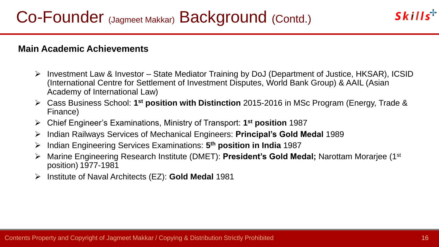#### **Main Academic Achievements**

- ➢ Investment Law & Investor State Mediator Training by DoJ (Department of Justice, HKSAR), ICSID (International Centre for Settlement of Investment Disputes, World Bank Group) & AAIL (Asian Academy of International Law)
- ➢ Cass Business School: **1 st position with Distinction** 2015-2016 in MSc Program (Energy, Trade & Finance)
- ➢ Chief Engineer's Examinations, Ministry of Transport: **1 st position** 1987
- ➢ Indian Railways Services of Mechanical Engineers: **Principal's Gold Medal** 1989
- ➢ Indian Engineering Services Examinations: **5 th position in India** 1987
- ➢ Marine Engineering Research Institute (DMET): **President's Gold Medal;** Narottam Morarjee (1st position) 1977-1981
- ➢ Institute of Naval Architects (EZ): **Gold Medal** 1981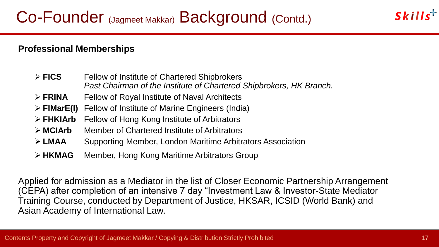#### **Professional Memberships**

- ➢ **FICS** Fellow of Institute of Chartered Shipbrokers *Past Chairman of the Institute of Chartered Shipbrokers, HK Branch.*
- ➢ **FRINA** Fellow of Royal Institute of Naval Architects
- ➢ **FIMarE(I)** Fellow of Institute of Marine Engineers (India)
- ➢ **FHKIArb** Fellow of Hong Kong Institute of Arbitrators
- ➢ **MCIArb** Member of Chartered Institute of Arbitrators
- ➢ **LMAA** Supporting Member, London Maritime Arbitrators Association
- ➢ **HKMAG** Member, Hong Kong Maritime Arbitrators Group

Applied for admission as a Mediator in the list of Closer Economic Partnership Arrangement (CEPA) after completion of an intensive 7 day "Investment Law & Investor-State Mediator Training Course, conducted by Department of Justice, HKSAR, ICSID (World Bank) and Asian Academy of International Law.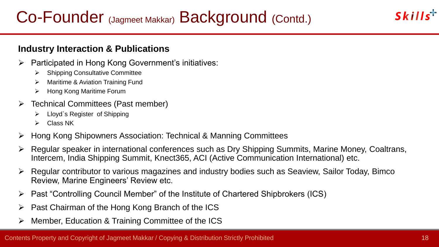#### **Industry Interaction & Publications**

- ➢ Participated in Hong Kong Government's initiatives:
	- ➢ Shipping Consultative Committee
	- ➢ Maritime & Aviation Training Fund
	- ➢ Hong Kong Maritime Forum
- ➢ Technical Committees (Past member)
	- ➢ Lloyd`s Register of Shipping
	- ➢ Class NK
- ➢ Hong Kong Shipowners Association: Technical & Manning Committees
- ➢ Regular speaker in international conferences such as Dry Shipping Summits, Marine Money, Coaltrans, Intercem, India Shipping Summit, Knect365, ACI (Active Communication International) etc.
- ➢ Regular contributor to various magazines and industry bodies such as Seaview, Sailor Today, Bimco Review, Marine Engineers' Review etc.
- ➢ Past "Controlling Council Member" of the Institute of Chartered Shipbrokers (ICS)
- $\triangleright$  Past Chairman of the Hong Kong Branch of the ICS
- ➢ Member, Education & Training Committee of the ICS